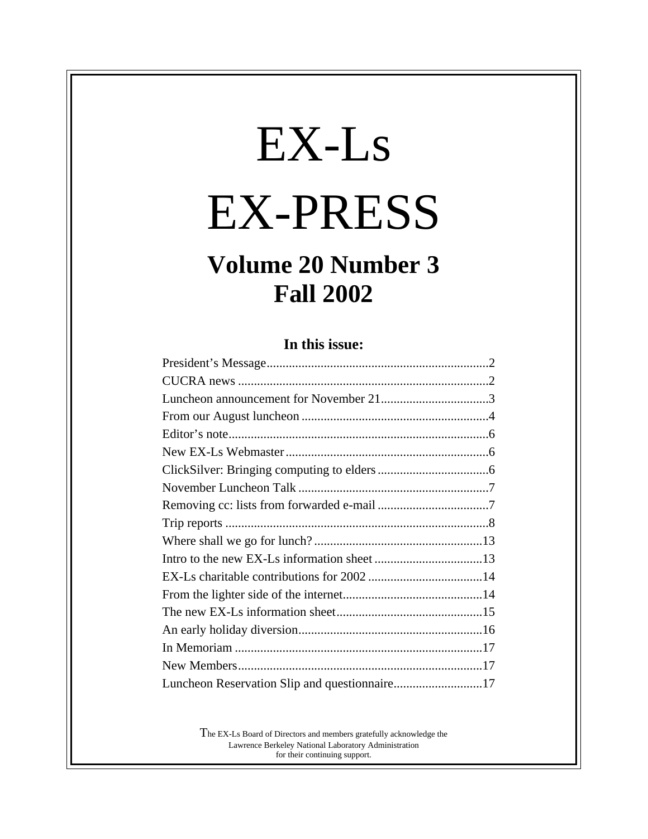# EX-Ls EX-PRESS

# **Volume 20 Number 3 Fall 2002**

#### **In this issue:**

| Luncheon Reservation Slip and questionnaire17 |  |
|-----------------------------------------------|--|

The EX-Ls Board of Directors and members gratefully acknowledge the Lawrence Berkeley National Laboratory Administration for their continuing support.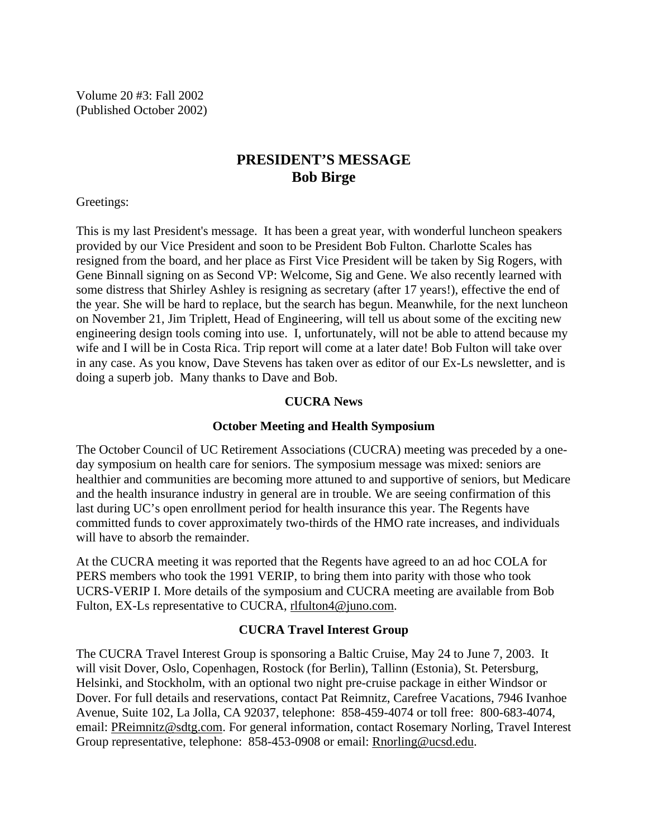Volume 20 #3: Fall 2002 (Published October 2002)

#### **PRESIDENT'S MESSAGE Bob Birge**

Greetings:

This is my last President's message. It has been a great year, with wonderful luncheon speakers provided by our Vice President and soon to be President Bob Fulton. Charlotte Scales has resigned from the board, and her place as First Vice President will be taken by Sig Rogers, with Gene Binnall signing on as Second VP: Welcome, Sig and Gene. We also recently learned with some distress that Shirley Ashley is resigning as secretary (after 17 years!), effective the end of the year. She will be hard to replace, but the search has begun. Meanwhile, for the next luncheon on November 21, Jim Triplett, Head of Engineering, will tell us about some of the exciting new engineering design tools coming into use. I, unfortunately, will not be able to attend because my wife and I will be in Costa Rica. Trip report will come at a later date! Bob Fulton will take over in any case. As you know, Dave Stevens has taken over as editor of our Ex-Ls newsletter, and is doing a superb job. Many thanks to Dave and Bob.

#### **CUCRA News**

#### **October Meeting and Health Symposium**

The October Council of UC Retirement Associations (CUCRA) meeting was preceded by a oneday symposium on health care for seniors. The symposium message was mixed: seniors are healthier and communities are becoming more attuned to and supportive of seniors, but Medicare and the health insurance industry in general are in trouble. We are seeing confirmation of this last during UC's open enrollment period for health insurance this year. The Regents have committed funds to cover approximately two-thirds of the HMO rate increases, and individuals will have to absorb the remainder.

At the CUCRA meeting it was reported that the Regents have agreed to an ad hoc COLA for PERS members who took the 1991 VERIP, to bring them into parity with those who took UCRS-VERIP I. More details of the symposium and CUCRA meeting are available from Bob Fulton, EX-Ls representative to CUCRA, rlfulton4@juno.com.

#### **CUCRA Travel Interest Group**

The CUCRA Travel Interest Group is sponsoring a Baltic Cruise, May 24 to June 7, 2003. It will visit Dover, Oslo, Copenhagen, Rostock (for Berlin), Tallinn (Estonia), St. Petersburg, Helsinki, and Stockholm, with an optional two night pre-cruise package in either Windsor or Dover. For full details and reservations, contact Pat Reimnitz, Carefree Vacations, 7946 Ivanhoe Avenue, Suite 102, La Jolla, CA 92037, telephone: 858-459-4074 or toll free: 800-683-4074, email: PReimnitz@sdtg.com. For general information, contact Rosemary Norling, Travel Interest Group representative, telephone: 858-453-0908 or email: Rnorling@ucsd.edu.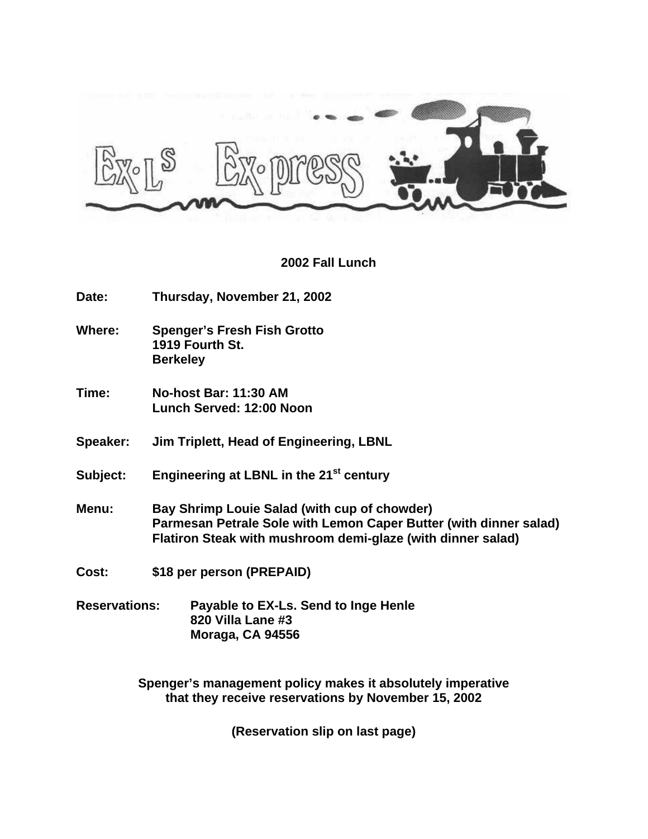

#### **2002 Fall Lunch**

**Date: Thursday, November 21, 2002**

**Where: Spenger's Fresh Fish Grotto 1919 Fourth St. Berkeley**

**Time: No-host Bar: 11:30 AM Lunch Served: 12:00 Noon**

**Speaker: Jim Triplett, Head of Engineering, LBNL**

**Subject: Engineering at LBNL in the 21st century**

- **Menu: Bay Shrimp Louie Salad (with cup of chowder) Parmesan Petrale Sole with Lemon Caper Butter (with dinner salad) Flatiron Steak with mushroom demi-glaze (with dinner salad)**
- **Cost: \$18 per person (PREPAID)**
- **Reservations: Payable to EX-Ls. Send to Inge Henle 820 Villa Lane #3 Moraga, CA 94556**

**Spenger's management policy makes it absolutely imperative that they receive reservations by November 15, 2002**

**(Reservation slip on last page)**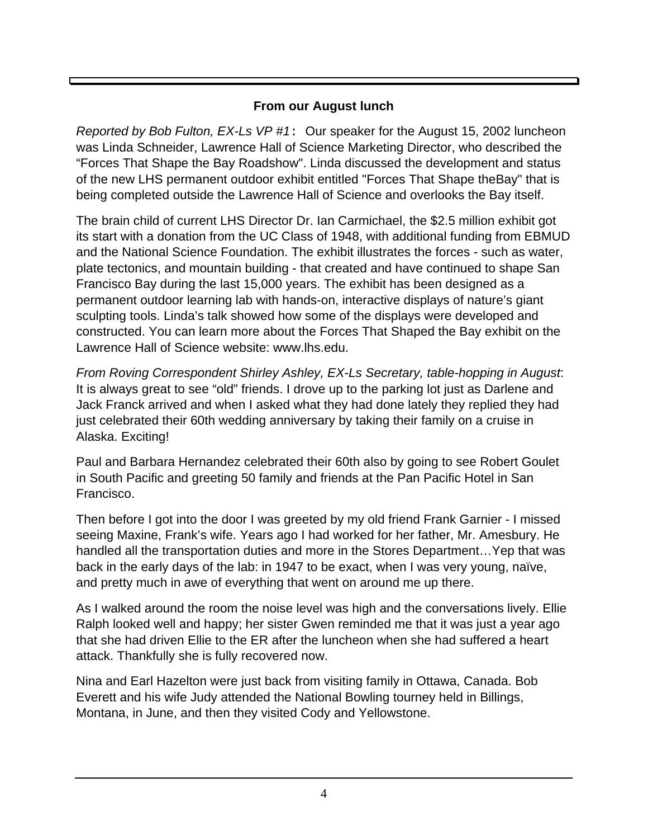### **From our August lunch**

*Reported by Bob Fulton, EX-Ls VP #1*: Our speaker for the August 15, 2002 luncheon was Linda Schneider, Lawrence Hall of Science Marketing Director, who described the "Forces That Shape the Bay Roadshow". Linda discussed the development and status of the new LHS permanent outdoor exhibit entitled "Forces That Shape theBay" that is being completed outside the Lawrence Hall of Science and overlooks the Bay itself.

The brain child of current LHS Director Dr. Ian Carmichael, the \$2.5 million exhibit got its start with a donation from the UC Class of 1948, with additional funding from EBMUD and the National Science Foundation. The exhibit illustrates the forces - such as water, plate tectonics, and mountain building - that created and have continued to shape San Francisco Bay during the last 15,000 years. The exhibit has been designed as a permanent outdoor learning lab with hands-on, interactive displays of nature's giant sculpting tools. Linda's talk showed how some of the displays were developed and constructed. You can learn more about the Forces That Shaped the Bay exhibit on the Lawrence Hall of Science website: www.lhs.edu.

*From Roving Correspondent Shirley Ashley, EX-Ls Secretary, table-hopping in August*: It is always great to see "old" friends. I drove up to the parking lot just as Darlene and Jack Franck arrived and when I asked what they had done lately they replied they had just celebrated their 60th wedding anniversary by taking their family on a cruise in Alaska. Exciting!

Paul and Barbara Hernandez celebrated their 60th also by going to see Robert Goulet in South Pacific and greeting 50 family and friends at the Pan Pacific Hotel in San Francisco.

Then before I got into the door I was greeted by my old friend Frank Garnier - I missed seeing Maxine, Frank's wife. Years ago I had worked for her father, Mr. Amesbury. He handled all the transportation duties and more in the Stores Department…Yep that was back in the early days of the lab: in 1947 to be exact, when I was very young, naïve, and pretty much in awe of everything that went on around me up there.

As I walked around the room the noise level was high and the conversations lively. Ellie Ralph looked well and happy; her sister Gwen reminded me that it was just a year ago that she had driven Ellie to the ER after the luncheon when she had suffered a heart attack. Thankfully she is fully recovered now.

Nina and Earl Hazelton were just back from visiting family in Ottawa, Canada. Bob Everett and his wife Judy attended the National Bowling tourney held in Billings, Montana, in June, and then they visited Cody and Yellowstone.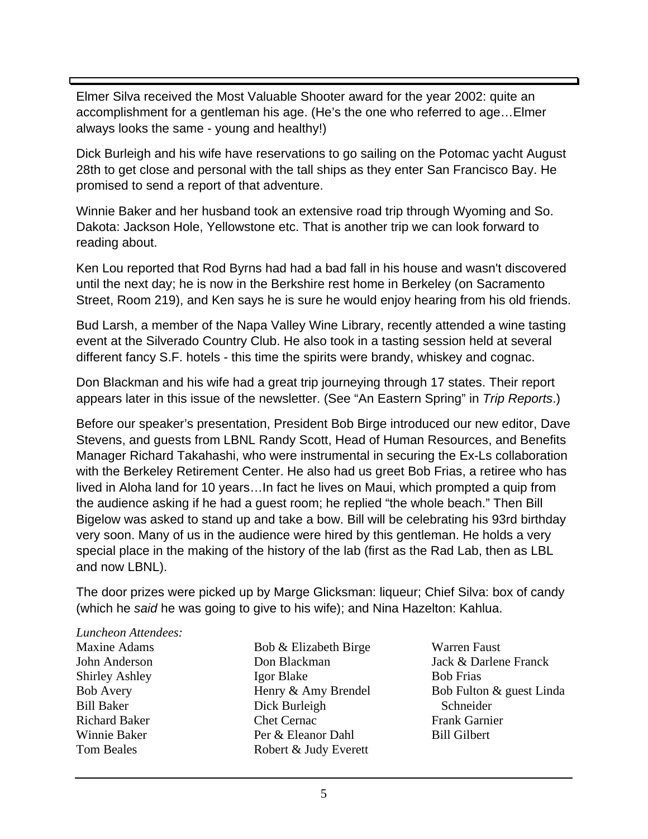Elmer Silva received the Most Valuable Shooter award for the year 2002: quite an accomplishment for a gentleman his age. (He's the one who referred to age…Elmer always looks the same - young and healthy!)

Dick Burleigh and his wife have reservations to go sailing on the Potomac yacht August 28th to get close and personal with the tall ships as they enter San Francisco Bay. He promised to send a report of that adventure.

Winnie Baker and her husband took an extensive road trip through Wyoming and So. Dakota: Jackson Hole, Yellowstone etc. That is another trip we can look forward to reading about.

Ken Lou reported that Rod Byrns had had a bad fall in his house and wasn't discovered until the next day; he is now in the Berkshire rest home in Berkeley (on Sacramento Street, Room 219), and Ken says he is sure he would enjoy hearing from his old friends.

Bud Larsh, a member of the Napa Valley Wine Library, recently attended a wine tasting event at the Silverado Country Club. He also took in a tasting session held at several different fancy S.F. hotels - this time the spirits were brandy, whiskey and cognac.

Don Blackman and his wife had a great trip journeying through 17 states. Their report appears later in this issue of the newsletter. (See "An Eastern Spring" in *Trip Reports*.)

Before our speaker's presentation, President Bob Birge introduced our new editor, Dave Stevens, and guests from LBNL Randy Scott, Head of Human Resources, and Benefits Manager Richard Takahashi, who were instrumental in securing the Ex-Ls collaboration with the Berkeley Retirement Center. He also had us greet Bob Frias, a retiree who has lived in Aloha land for 10 years…In fact he lives on Maui, which prompted a quip from the audience asking if he had a guest room; he replied "the whole beach." Then Bill Bigelow was asked to stand up and take a bow. Bill will be celebrating his 93rd birthday very soon. Many of us in the audience were hired by this gentleman. He holds a very special place in the making of the history of the lab (first as the Rad Lab, then as LBL and now LBNL).

The door prizes were picked up by Marge Glicksman: liqueur; Chief Silva: box of candy (which he *said* he was going to give to his wife); and Nina Hazelton: Kahlua.

#### *Luncheon Attendees:*

Maxine Adams John Anderson Shirley Ashley Bob Avery Bill Baker Richard Baker Winnie Baker Tom Beales

- Bob & Elizabeth Birge Don Blackman Igor Blake Henry & Amy Brendel Dick Burleigh Chet Cernac Per & Eleanor Dahl Robert & Judy Everett
- Warren Faust Jack & Darlene Franck Bob Frias Bob Fulton & guest Linda Schneider Frank Garnier Bill Gilbert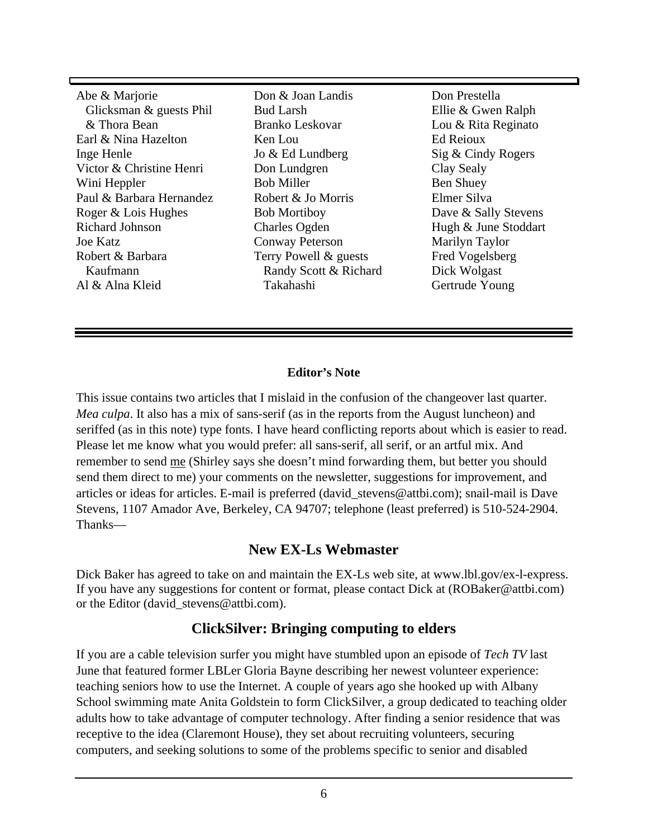Abe & Marjorie Glicksman & guests Phil & Thora Bean Earl & Nina Hazelton Inge Henle Victor & Christine Henri Wini Heppler Paul & Barbara Hernandez Roger & Lois Hughes Richard Johnson Joe Katz Robert & Barbara Kaufmann Al & Alna Kleid

Don & Joan Landis Bud Larsh Branko Leskovar Ken Lou Jo & Ed Lundberg Don Lundgren Bob Miller Robert & Jo Morris Bob Mortiboy Charles Ogden Conway Peterson Terry Powell & guests Randy Scott & Richard Takahashi

Don Prestella Ellie & Gwen Ralph Lou & Rita Reginato Ed Reioux Sig & Cindy Rogers Clay Sealy Ben Shuey Elmer Silva Dave & Sally Stevens Hugh & June Stoddart Marilyn Taylor Fred Vogelsberg Dick Wolgast Gertrude Young

#### **Editor's Note**

This issue contains two articles that I mislaid in the confusion of the changeover last quarter. *Mea culpa*. It also has a mix of sans-serif (as in the reports from the August luncheon) and seriffed (as in this note) type fonts. I have heard conflicting reports about which is easier to read. Please let me know what you would prefer: all sans-serif, all serif, or an artful mix. And remember to send me (Shirley says she doesn't mind forwarding them, but better you should send them direct to me) your comments on the newsletter, suggestions for improvement, and articles or ideas for articles. E-mail is preferred (david\_stevens@attbi.com); snail-mail is Dave Stevens, 1107 Amador Ave, Berkeley, CA 94707; telephone (least preferred) is 510-524-2904. Thanks—

#### **New EX-Ls Webmaster**

Dick Baker has agreed to take on and maintain the EX-Ls web site, at www.lbl.gov/ex-l-express. If you have any suggestions for content or format, please contact Dick at (ROBaker@attbi.com) or the Editor (david stevens@attbi.com).

#### **ClickSilver: Bringing computing to elders**

If you are a cable television surfer you might have stumbled upon an episode of *Tech TV* last June that featured former LBLer Gloria Bayne describing her newest volunteer experience: teaching seniors how to use the Internet. A couple of years ago she hooked up with Albany School swimming mate Anita Goldstein to form ClickSilver, a group dedicated to teaching older adults how to take advantage of computer technology. After finding a senior residence that was receptive to the idea (Claremont House), they set about recruiting volunteers, securing computers, and seeking solutions to some of the problems specific to senior and disabled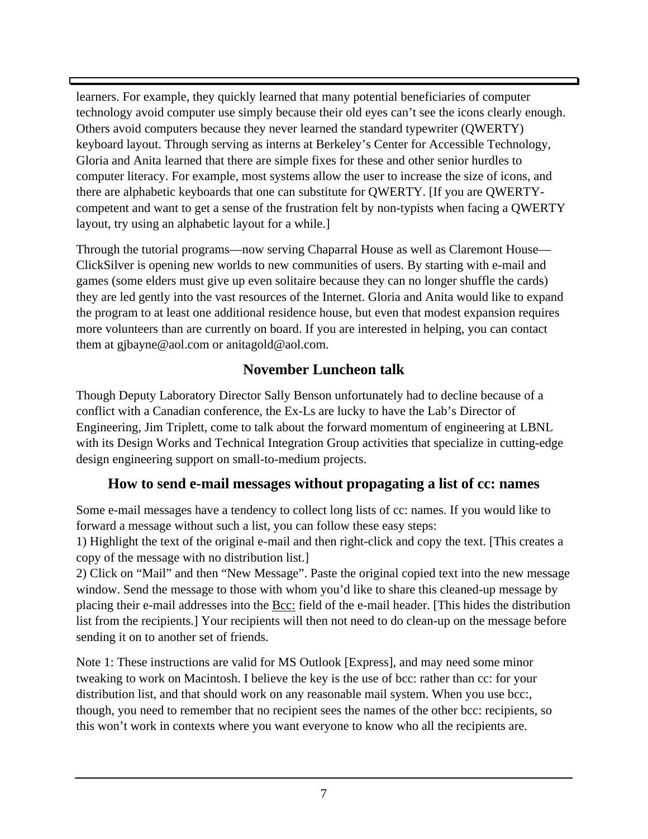learners. For example, they quickly learned that many potential beneficiaries of computer technology avoid computer use simply because their old eyes can't see the icons clearly enough. Others avoid computers because they never learned the standard typewriter (QWERTY) keyboard layout. Through serving as interns at Berkeley's Center for Accessible Technology, Gloria and Anita learned that there are simple fixes for these and other senior hurdles to computer literacy. For example, most systems allow the user to increase the size of icons, and there are alphabetic keyboards that one can substitute for QWERTY. [If you are QWERTYcompetent and want to get a sense of the frustration felt by non-typists when facing a QWERTY layout, try using an alphabetic layout for a while.]

Through the tutorial programs—now serving Chaparral House as well as Claremont House— ClickSilver is opening new worlds to new communities of users. By starting with e-mail and games (some elders must give up even solitaire because they can no longer shuffle the cards) they are led gently into the vast resources of the Internet. Gloria and Anita would like to expand the program to at least one additional residence house, but even that modest expansion requires more volunteers than are currently on board. If you are interested in helping, you can contact them at gjbayne@aol.com or anitagold@aol.com.

# **November Luncheon talk**

Though Deputy Laboratory Director Sally Benson unfortunately had to decline because of a conflict with a Canadian conference, the Ex-Ls are lucky to have the Lab's Director of Engineering, Jim Triplett, come to talk about the forward momentum of engineering at LBNL with its Design Works and Technical Integration Group activities that specialize in cutting-edge design engineering support on small-to-medium projects.

# **How to send e-mail messages without propagating a list of cc: names**

Some e-mail messages have a tendency to collect long lists of cc: names. If you would like to forward a message without such a list, you can follow these easy steps:

1) Highlight the text of the original e-mail and then right-click and copy the text. [This creates a copy of the message with no distribution list.]

2) Click on "Mail" and then "New Message". Paste the original copied text into the new message window. Send the message to those with whom you'd like to share this cleaned-up message by placing their e-mail addresses into the Bcc: field of the e-mail header. [This hides the distribution list from the recipients.] Your recipients will then not need to do clean-up on the message before sending it on to another set of friends.

Note 1: These instructions are valid for MS Outlook [Express], and may need some minor tweaking to work on Macintosh. I believe the key is the use of bcc: rather than cc: for your distribution list, and that should work on any reasonable mail system. When you use bcc:, though, you need to remember that no recipient sees the names of the other bcc: recipients, so this won't work in contexts where you want everyone to know who all the recipients are.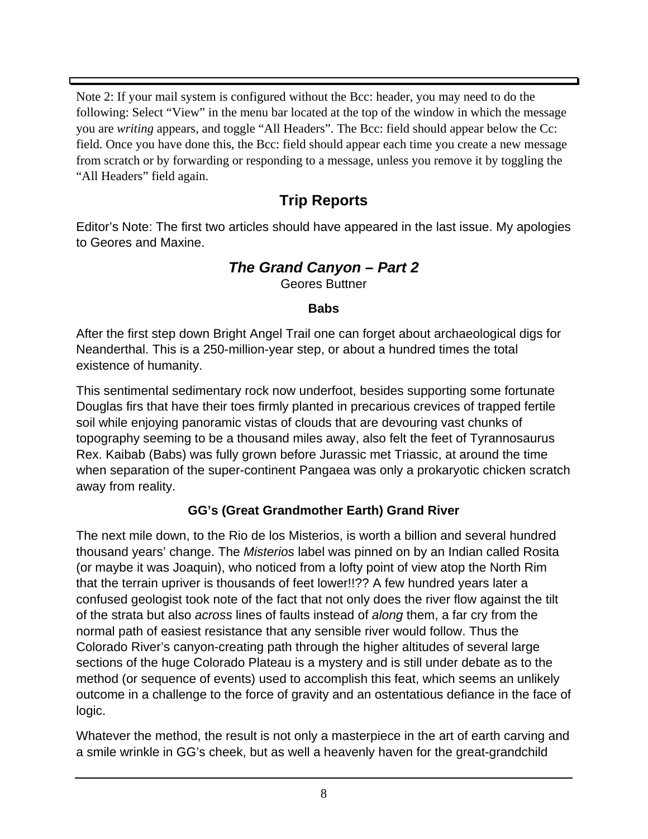Note 2: If your mail system is configured without the Bcc: header, you may need to do the following: Select "View" in the menu bar located at the top of the window in which the message you are *writing* appears, and toggle "All Headers". The Bcc: field should appear below the Cc: field. Once you have done this, the Bcc: field should appear each time you create a new message from scratch or by forwarding or responding to a message, unless you remove it by toggling the "All Headers" field again.

# **Trip Reports**

Editor's Note: The first two articles should have appeared in the last issue. My apologies to Geores and Maxine.

# *The Grand Canyon – Part 2*

Geores Buttner

#### **Babs**

After the first step down Bright Angel Trail one can forget about archaeological digs for Neanderthal. This is a 250-million-year step, or about a hundred times the total existence of humanity.

This sentimental sedimentary rock now underfoot, besides supporting some fortunate Douglas firs that have their toes firmly planted in precarious crevices of trapped fertile soil while enjoying panoramic vistas of clouds that are devouring vast chunks of topography seeming to be a thousand miles away, also felt the feet of Tyrannosaurus Rex. Kaibab (Babs) was fully grown before Jurassic met Triassic, at around the time when separation of the super-continent Pangaea was only a prokaryotic chicken scratch away from reality.

# **GG's (Great Grandmother Earth) Grand River**

The next mile down, to the Rio de los Misterios, is worth a billion and several hundred thousand years' change. The *Misterios* label was pinned on by an Indian called Rosita (or maybe it was Joaquin), who noticed from a lofty point of view atop the North Rim that the terrain upriver is thousands of feet lower!!?? A few hundred years later a confused geologist took note of the fact that not only does the river flow against the tilt of the strata but also *across* lines of faults instead of *along* them, a far cry from the normal path of easiest resistance that any sensible river would follow. Thus the Colorado River's canyon-creating path through the higher altitudes of several large sections of the huge Colorado Plateau is a mystery and is still under debate as to the method (or sequence of events) used to accomplish this feat, which seems an unlikely outcome in a challenge to the force of gravity and an ostentatious defiance in the face of logic.

Whatever the method, the result is not only a masterpiece in the art of earth carving and a smile wrinkle in GG's cheek, but as well a heavenly haven for the great-grandchild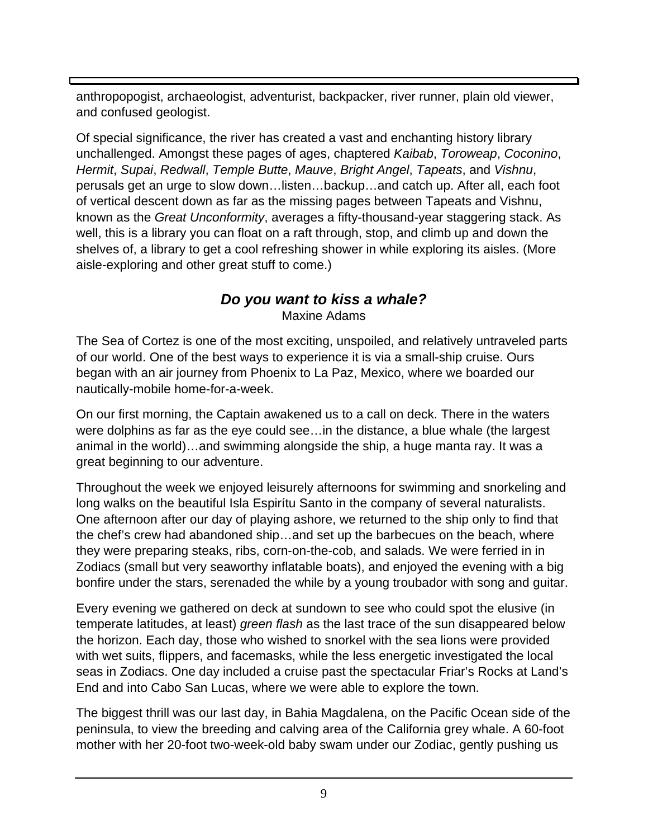anthropopogist, archaeologist, adventurist, backpacker, river runner, plain old viewer, and confused geologist.

Of special significance, the river has created a vast and enchanting history library unchallenged. Amongst these pages of ages, chaptered *Kaibab*, *Toroweap*, *Coconino*, *Hermit*, *Supai*, *Redwall*, *Temple Butte*, *Mauve*, *Bright Angel*, *Tapeats*, and *Vishnu*, perusals get an urge to slow down…listen…backup…and catch up. After all, each foot of vertical descent down as far as the missing pages between Tapeats and Vishnu, known as the *Great Unconformity*, averages a fifty-thousand-year staggering stack. As well, this is a library you can float on a raft through, stop, and climb up and down the shelves of, a library to get a cool refreshing shower in while exploring its aisles. (More aisle-exploring and other great stuff to come.)

## *Do you want to kiss a whale?* Maxine Adams

The Sea of Cortez is one of the most exciting, unspoiled, and relatively untraveled parts of our world. One of the best ways to experience it is via a small-ship cruise. Ours began with an air journey from Phoenix to La Paz, Mexico, where we boarded our nautically-mobile home-for-a-week.

On our first morning, the Captain awakened us to a call on deck. There in the waters were dolphins as far as the eye could see…in the distance, a blue whale (the largest animal in the world)…and swimming alongside the ship, a huge manta ray. It was a great beginning to our adventure.

Throughout the week we enjoyed leisurely afternoons for swimming and snorkeling and long walks on the beautiful Isla Espirítu Santo in the company of several naturalists. One afternoon after our day of playing ashore, we returned to the ship only to find that the chef's crew had abandoned ship…and set up the barbecues on the beach, where they were preparing steaks, ribs, corn-on-the-cob, and salads. We were ferried in in Zodiacs (small but very seaworthy inflatable boats), and enjoyed the evening with a big bonfire under the stars, serenaded the while by a young troubador with song and guitar.

Every evening we gathered on deck at sundown to see who could spot the elusive (in temperate latitudes, at least) *green flash* as the last trace of the sun disappeared below the horizon. Each day, those who wished to snorkel with the sea lions were provided with wet suits, flippers, and facemasks, while the less energetic investigated the local seas in Zodiacs. One day included a cruise past the spectacular Friar's Rocks at Land's End and into Cabo San Lucas, where we were able to explore the town.

The biggest thrill was our last day, in Bahia Magdalena, on the Pacific Ocean side of the peninsula, to view the breeding and calving area of the California grey whale. A 60-foot mother with her 20-foot two-week-old baby swam under our Zodiac, gently pushing us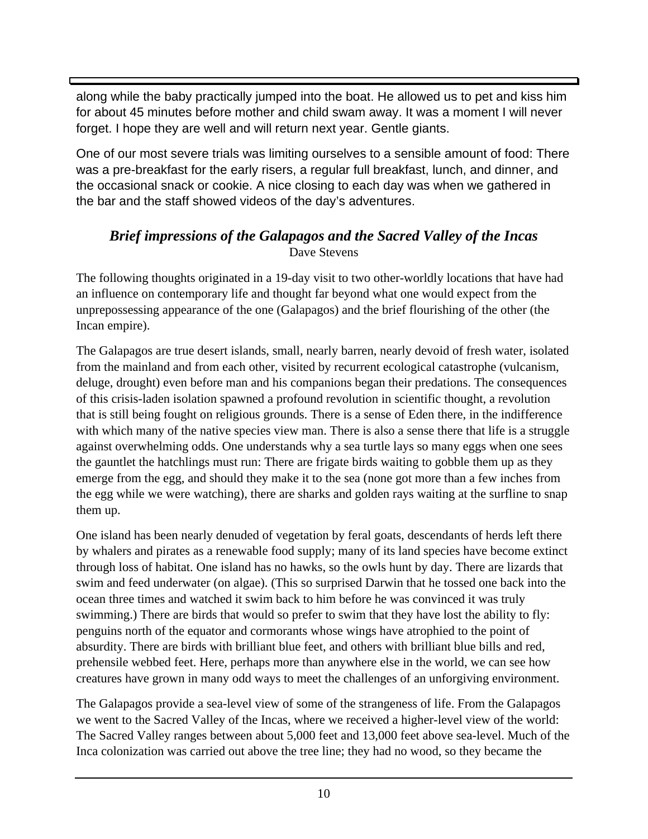along while the baby practically jumped into the boat. He allowed us to pet and kiss him for about 45 minutes before mother and child swam away. It was a moment I will never forget. I hope they are well and will return next year. Gentle giants.

One of our most severe trials was limiting ourselves to a sensible amount of food: There was a pre-breakfast for the early risers, a regular full breakfast, lunch, and dinner, and the occasional snack or cookie. A nice closing to each day was when we gathered in the bar and the staff showed videos of the day's adventures.

### *Brief impressions of the Galapagos and the Sacred Valley of the Incas* Dave Stevens

The following thoughts originated in a 19-day visit to two other-worldly locations that have had an influence on contemporary life and thought far beyond what one would expect from the unprepossessing appearance of the one (Galapagos) and the brief flourishing of the other (the Incan empire).

The Galapagos are true desert islands, small, nearly barren, nearly devoid of fresh water, isolated from the mainland and from each other, visited by recurrent ecological catastrophe (vulcanism, deluge, drought) even before man and his companions began their predations. The consequences of this crisis-laden isolation spawned a profound revolution in scientific thought, a revolution that is still being fought on religious grounds. There is a sense of Eden there, in the indifference with which many of the native species view man. There is also a sense there that life is a struggle against overwhelming odds. One understands why a sea turtle lays so many eggs when one sees the gauntlet the hatchlings must run: There are frigate birds waiting to gobble them up as they emerge from the egg, and should they make it to the sea (none got more than a few inches from the egg while we were watching), there are sharks and golden rays waiting at the surfline to snap them up.

One island has been nearly denuded of vegetation by feral goats, descendants of herds left there by whalers and pirates as a renewable food supply; many of its land species have become extinct through loss of habitat. One island has no hawks, so the owls hunt by day. There are lizards that swim and feed underwater (on algae). (This so surprised Darwin that he tossed one back into the ocean three times and watched it swim back to him before he was convinced it was truly swimming.) There are birds that would so prefer to swim that they have lost the ability to fly: penguins north of the equator and cormorants whose wings have atrophied to the point of absurdity. There are birds with brilliant blue feet, and others with brilliant blue bills and red, prehensile webbed feet. Here, perhaps more than anywhere else in the world, we can see how creatures have grown in many odd ways to meet the challenges of an unforgiving environment.

The Galapagos provide a sea-level view of some of the strangeness of life. From the Galapagos we went to the Sacred Valley of the Incas, where we received a higher-level view of the world: The Sacred Valley ranges between about 5,000 feet and 13,000 feet above sea-level. Much of the Inca colonization was carried out above the tree line; they had no wood, so they became the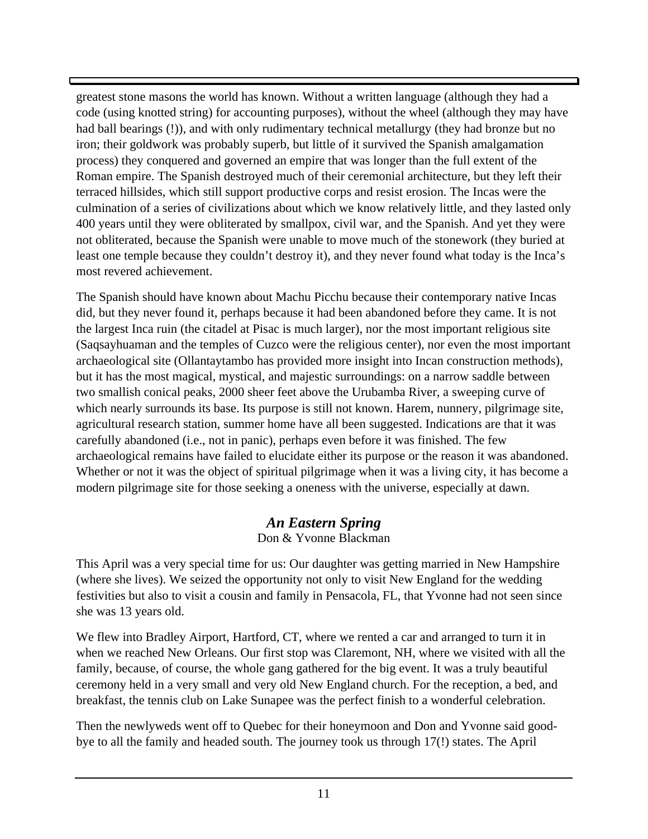greatest stone masons the world has known. Without a written language (although they had a code (using knotted string) for accounting purposes), without the wheel (although they may have had ball bearings (!)), and with only rudimentary technical metallurgy (they had bronze but no iron; their goldwork was probably superb, but little of it survived the Spanish amalgamation process) they conquered and governed an empire that was longer than the full extent of the Roman empire. The Spanish destroyed much of their ceremonial architecture, but they left their terraced hillsides, which still support productive corps and resist erosion. The Incas were the culmination of a series of civilizations about which we know relatively little, and they lasted only 400 years until they were obliterated by smallpox, civil war, and the Spanish. And yet they were not obliterated, because the Spanish were unable to move much of the stonework (they buried at least one temple because they couldn't destroy it), and they never found what today is the Inca's most revered achievement.

The Spanish should have known about Machu Picchu because their contemporary native Incas did, but they never found it, perhaps because it had been abandoned before they came. It is not the largest Inca ruin (the citadel at Pisac is much larger), nor the most important religious site (Saqsayhuaman and the temples of Cuzco were the religious center), nor even the most important archaeological site (Ollantaytambo has provided more insight into Incan construction methods), but it has the most magical, mystical, and majestic surroundings: on a narrow saddle between two smallish conical peaks, 2000 sheer feet above the Urubamba River, a sweeping curve of which nearly surrounds its base. Its purpose is still not known. Harem, nunnery, pilgrimage site, agricultural research station, summer home have all been suggested. Indications are that it was carefully abandoned (i.e., not in panic), perhaps even before it was finished. The few archaeological remains have failed to elucidate either its purpose or the reason it was abandoned. Whether or not it was the object of spiritual pilgrimage when it was a living city, it has become a modern pilgrimage site for those seeking a oneness with the universe, especially at dawn.

# *An Eastern Spring*

#### Don & Yvonne Blackman

This April was a very special time for us: Our daughter was getting married in New Hampshire (where she lives). We seized the opportunity not only to visit New England for the wedding festivities but also to visit a cousin and family in Pensacola, FL, that Yvonne had not seen since she was 13 years old.

We flew into Bradley Airport, Hartford, CT, where we rented a car and arranged to turn it in when we reached New Orleans. Our first stop was Claremont, NH, where we visited with all the family, because, of course, the whole gang gathered for the big event. It was a truly beautiful ceremony held in a very small and very old New England church. For the reception, a bed, and breakfast, the tennis club on Lake Sunapee was the perfect finish to a wonderful celebration.

Then the newlyweds went off to Quebec for their honeymoon and Don and Yvonne said goodbye to all the family and headed south. The journey took us through 17(!) states. The April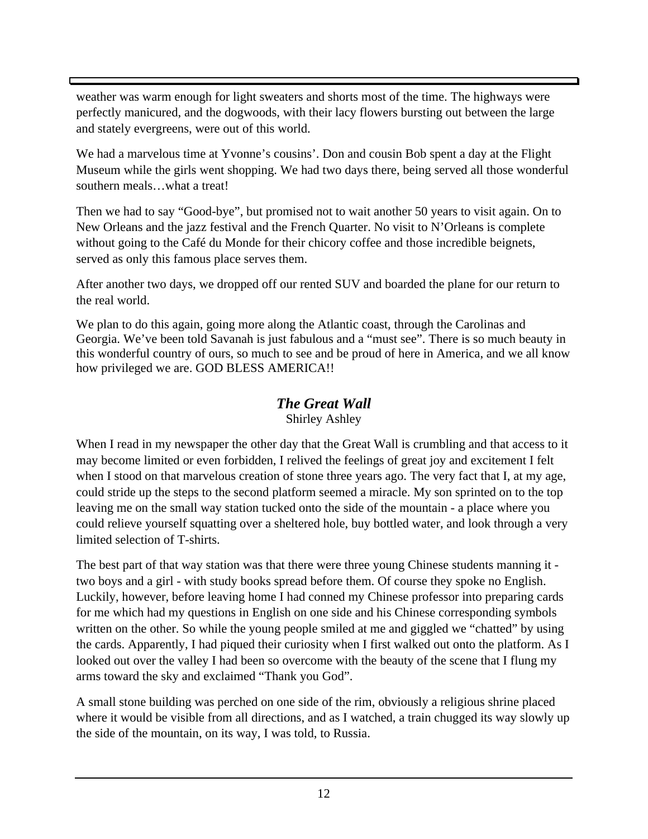weather was warm enough for light sweaters and shorts most of the time. The highways were perfectly manicured, and the dogwoods, with their lacy flowers bursting out between the large and stately evergreens, were out of this world.

We had a marvelous time at Yvonne's cousins'. Don and cousin Bob spent a day at the Flight Museum while the girls went shopping. We had two days there, being served all those wonderful southern meals…what a treat!

Then we had to say "Good-bye", but promised not to wait another 50 years to visit again. On to New Orleans and the jazz festival and the French Quarter. No visit to N'Orleans is complete without going to the Café du Monde for their chicory coffee and those incredible beignets, served as only this famous place serves them.

After another two days, we dropped off our rented SUV and boarded the plane for our return to the real world.

We plan to do this again, going more along the Atlantic coast, through the Carolinas and Georgia. We've been told Savanah is just fabulous and a "must see". There is so much beauty in this wonderful country of ours, so much to see and be proud of here in America, and we all know how privileged we are. GOD BLESS AMERICA!!

# *The Great Wall*

Shirley Ashley

When I read in my newspaper the other day that the Great Wall is crumbling and that access to it may become limited or even forbidden, I relived the feelings of great joy and excitement I felt when I stood on that marvelous creation of stone three years ago. The very fact that I, at my age, could stride up the steps to the second platform seemed a miracle. My son sprinted on to the top leaving me on the small way station tucked onto the side of the mountain - a place where you could relieve yourself squatting over a sheltered hole, buy bottled water, and look through a very limited selection of T-shirts.

The best part of that way station was that there were three young Chinese students manning it two boys and a girl - with study books spread before them. Of course they spoke no English. Luckily, however, before leaving home I had conned my Chinese professor into preparing cards for me which had my questions in English on one side and his Chinese corresponding symbols written on the other. So while the young people smiled at me and giggled we "chatted" by using the cards. Apparently, I had piqued their curiosity when I first walked out onto the platform. As I looked out over the valley I had been so overcome with the beauty of the scene that I flung my arms toward the sky and exclaimed "Thank you God".

A small stone building was perched on one side of the rim, obviously a religious shrine placed where it would be visible from all directions, and as I watched, a train chugged its way slowly up the side of the mountain, on its way, I was told, to Russia.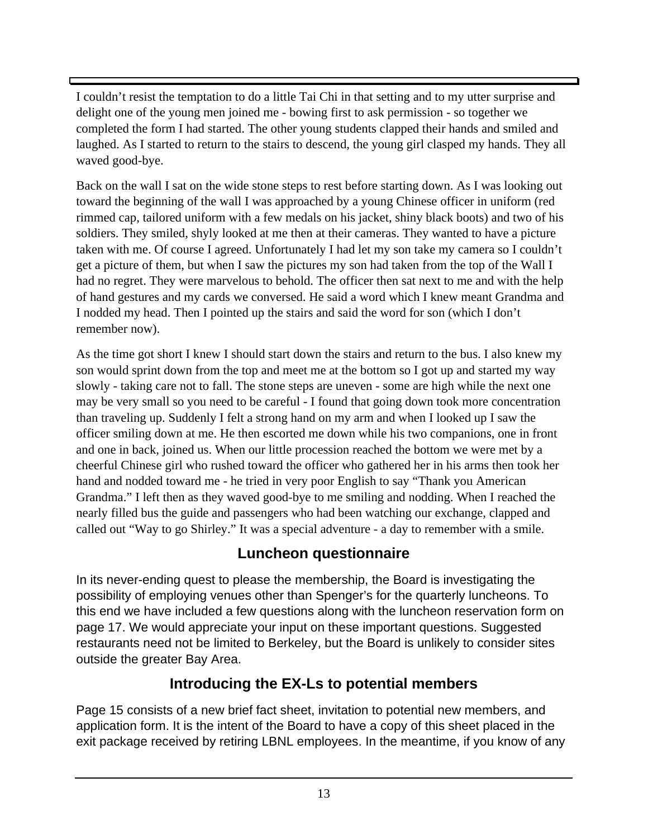I couldn't resist the temptation to do a little Tai Chi in that setting and to my utter surprise and delight one of the young men joined me - bowing first to ask permission - so together we completed the form I had started. The other young students clapped their hands and smiled and laughed. As I started to return to the stairs to descend, the young girl clasped my hands. They all waved good-bye.

Back on the wall I sat on the wide stone steps to rest before starting down. As I was looking out toward the beginning of the wall I was approached by a young Chinese officer in uniform (red rimmed cap, tailored uniform with a few medals on his jacket, shiny black boots) and two of his soldiers. They smiled, shyly looked at me then at their cameras. They wanted to have a picture taken with me. Of course I agreed. Unfortunately I had let my son take my camera so I couldn't get a picture of them, but when I saw the pictures my son had taken from the top of the Wall I had no regret. They were marvelous to behold. The officer then sat next to me and with the help of hand gestures and my cards we conversed. He said a word which I knew meant Grandma and I nodded my head. Then I pointed up the stairs and said the word for son (which I don't remember now).

As the time got short I knew I should start down the stairs and return to the bus. I also knew my son would sprint down from the top and meet me at the bottom so I got up and started my way slowly - taking care not to fall. The stone steps are uneven - some are high while the next one may be very small so you need to be careful - I found that going down took more concentration than traveling up. Suddenly I felt a strong hand on my arm and when I looked up I saw the officer smiling down at me. He then escorted me down while his two companions, one in front and one in back, joined us. When our little procession reached the bottom we were met by a cheerful Chinese girl who rushed toward the officer who gathered her in his arms then took her hand and nodded toward me - he tried in very poor English to say "Thank you American Grandma." I left then as they waved good-bye to me smiling and nodding. When I reached the nearly filled bus the guide and passengers who had been watching our exchange, clapped and called out "Way to go Shirley." It was a special adventure - a day to remember with a smile.

# **Luncheon questionnaire**

In its never-ending quest to please the membership, the Board is investigating the possibility of employing venues other than Spenger's for the quarterly luncheons. To this end we have included a few questions along with the luncheon reservation form on page 17. We would appreciate your input on these important questions. Suggested restaurants need not be limited to Berkeley, but the Board is unlikely to consider sites outside the greater Bay Area.

# **Introducing the EX-Ls to potential members**

Page 15 consists of a new brief fact sheet, invitation to potential new members, and application form. It is the intent of the Board to have a copy of this sheet placed in the exit package received by retiring LBNL employees. In the meantime, if you know of any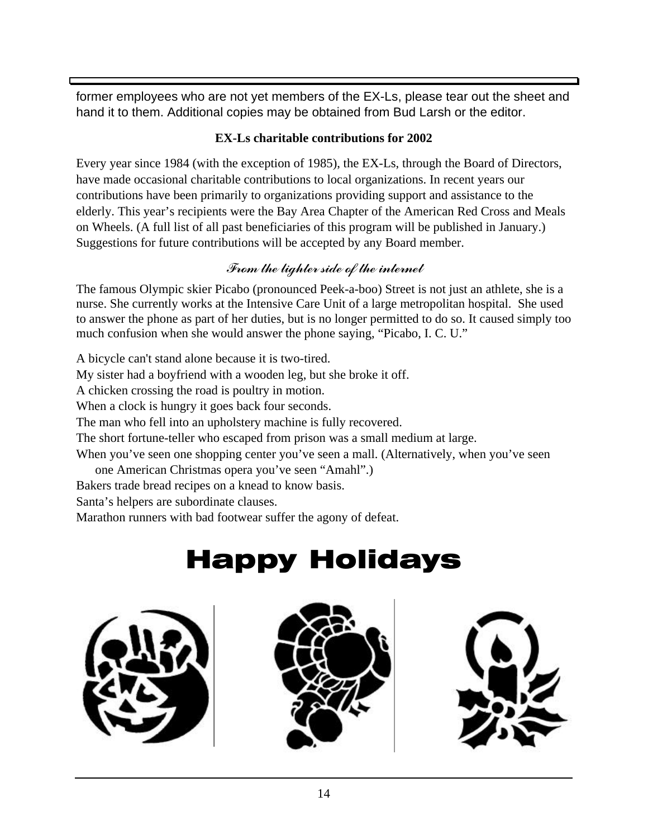former employees who are not yet members of the EX-Ls, please tear out the sheet and hand it to them. Additional copies may be obtained from Bud Larsh or the editor.

#### **EX-Ls charitable contributions for 2002**

Every year since 1984 (with the exception of 1985), the EX-Ls, through the Board of Directors, have made occasional charitable contributions to local organizations. In recent years our contributions have been primarily to organizations providing support and assistance to the elderly. This year's recipients were the Bay Area Chapter of the American Red Cross and Meals on Wheels. (A full list of all past beneficiaries of this program will be published in January.) Suggestions for future contributions will be accepted by any Board member.

# From the lighter side of the internet

The famous Olympic skier Picabo (pronounced Peek-a-boo) Street is not just an athlete, she is a nurse. She currently works at the Intensive Care Unit of a large metropolitan hospital. She used to answer the phone as part of her duties, but is no longer permitted to do so. It caused simply too much confusion when she would answer the phone saying, "Picabo, I. C. U."

A bicycle can't stand alone because it is two-tired.

My sister had a boyfriend with a wooden leg, but she broke it off.

A chicken crossing the road is poultry in motion.

When a clock is hungry it goes back four seconds.

The man who fell into an upholstery machine is fully recovered.

The short fortune-teller who escaped from prison was a small medium at large.

When you've seen one shopping center you've seen a mall. (Alternatively, when you've seen one American Christmas opera you've seen "Amahl".)

Bakers trade bread recipes on a knead to know basis.

Santa's helpers are subordinate clauses.

Marathon runners with bad footwear suffer the agony of defeat.

# Happy Holidays



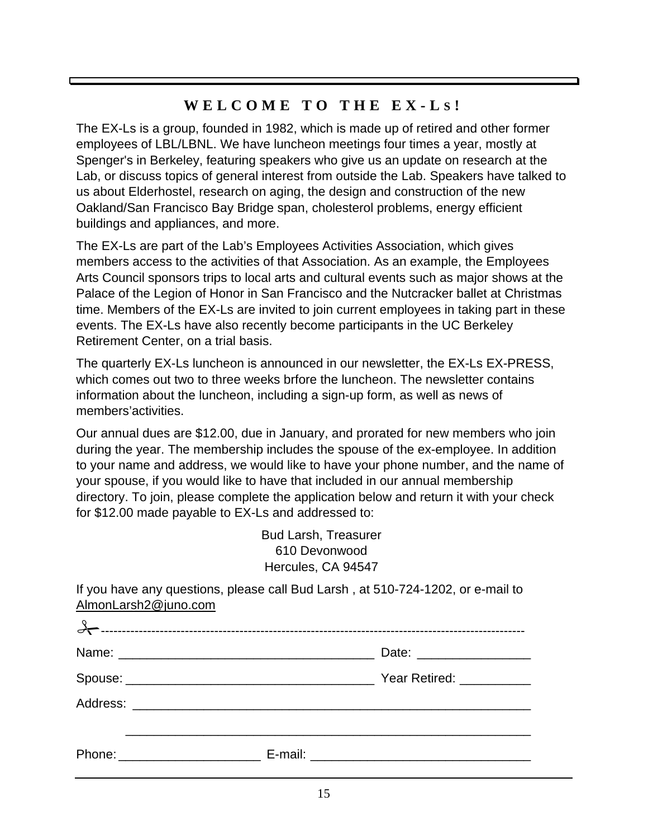# **WELCOME TO THE EX-L S !**

The EX-Ls is a group, founded in 1982, which is made up of retired and other former employees of LBL/LBNL. We have luncheon meetings four times a year, mostly at Spenger's in Berkeley, featuring speakers who give us an update on research at the Lab, or discuss topics of general interest from outside the Lab. Speakers have talked to us about Elderhostel, research on aging, the design and construction of the new Oakland/San Francisco Bay Bridge span, cholesterol problems, energy efficient buildings and appliances, and more.

The EX-Ls are part of the Lab's Employees Activities Association, which gives members access to the activities of that Association. As an example, the Employees Arts Council sponsors trips to local arts and cultural events such as major shows at the Palace of the Legion of Honor in San Francisco and the Nutcracker ballet at Christmas time. Members of the EX-Ls are invited to join current employees in taking part in these events. The EX-Ls have also recently become participants in the UC Berkeley Retirement Center, on a trial basis.

The quarterly EX-Ls luncheon is announced in our newsletter, the EX-Ls EX-PRESS, which comes out two to three weeks brfore the luncheon. The newsletter contains information about the luncheon, including a sign-up form, as well as news of members'activities.

Our annual dues are \$12.00, due in January, and prorated for new members who join during the year. The membership includes the spouse of the ex-employee. In addition to your name and address, we would like to have your phone number, and the name of your spouse, if you would like to have that included in our annual membership directory. To join, please complete the application below and return it with your check for \$12.00 made payable to EX-Ls and addressed to:

> Bud Larsh, Treasurer 610 Devonwood Hercules, CA 94547

If you have any questions, please call Bud Larsh , at 510-724-1202, or e-mail to AlmonLarsh2@juno.com

| Phone: ________________________ |  |
|---------------------------------|--|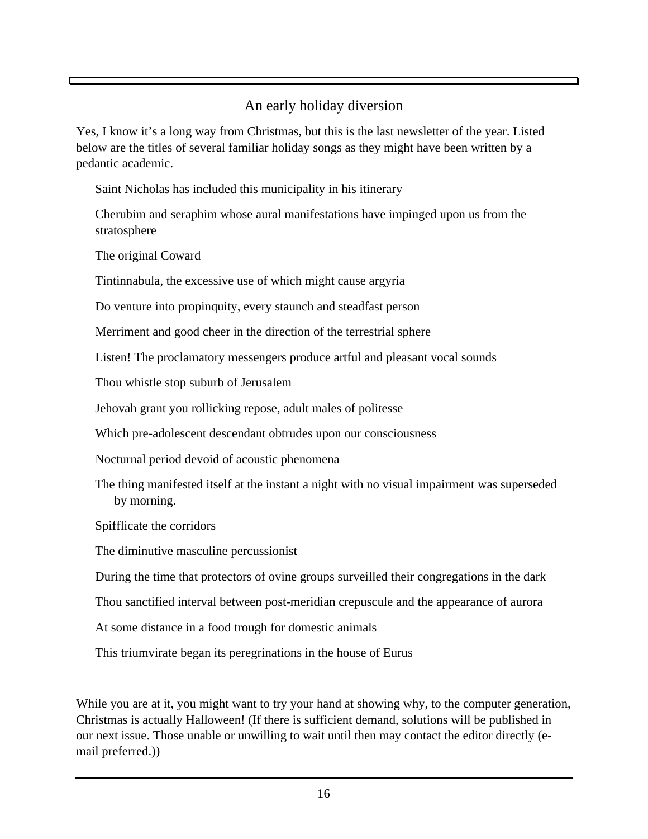# An early holiday diversion

Yes, I know it's a long way from Christmas, but this is the last newsletter of the year. Listed below are the titles of several familiar holiday songs as they might have been written by a pedantic academic.

Saint Nicholas has included this municipality in his itinerary

Cherubim and seraphim whose aural manifestations have impinged upon us from the stratosphere

The original Coward

Tintinnabula, the excessive use of which might cause argyria

Do venture into propinquity, every staunch and steadfast person

Merriment and good cheer in the direction of the terrestrial sphere

Listen! The proclamatory messengers produce artful and pleasant vocal sounds

Thou whistle stop suburb of Jerusalem

Jehovah grant you rollicking repose, adult males of politesse

Which pre-adolescent descendant obtrudes upon our consciousness

Nocturnal period devoid of acoustic phenomena

The thing manifested itself at the instant a night with no visual impairment was superseded by morning.

Spifflicate the corridors

The diminutive masculine percussionist

During the time that protectors of ovine groups surveilled their congregations in the dark

Thou sanctified interval between post-meridian crepuscule and the appearance of aurora

At some distance in a food trough for domestic animals

This triumvirate began its peregrinations in the house of Eurus

While you are at it, you might want to try your hand at showing why, to the computer generation, Christmas is actually Halloween! (If there is sufficient demand, solutions will be published in our next issue. Those unable or unwilling to wait until then may contact the editor directly (email preferred.))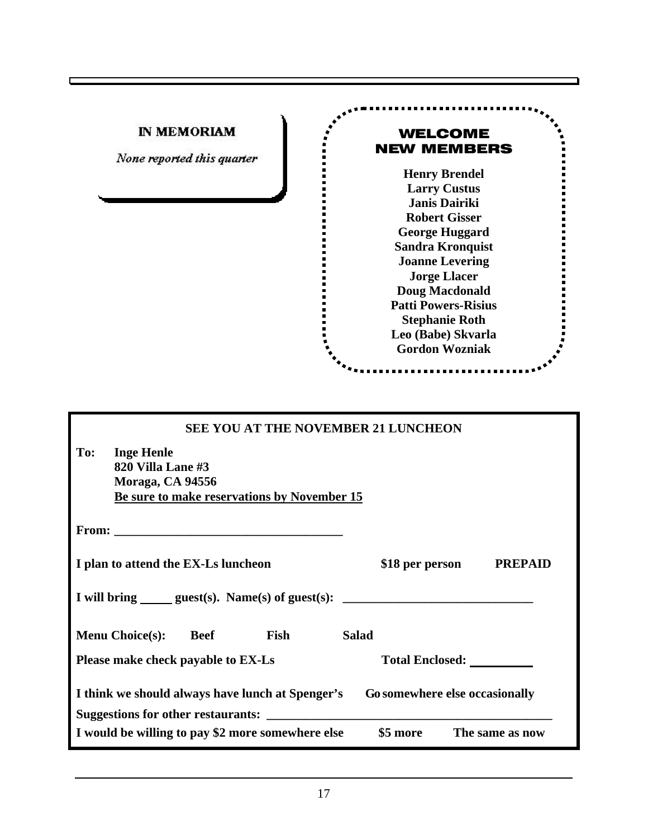| <b>IN MEMORIAM</b><br><b>WELCOME</b><br><b>NEW MEMBERS</b><br>None reported this quarter                                                                                                                                                                                                                                 |  |  |
|--------------------------------------------------------------------------------------------------------------------------------------------------------------------------------------------------------------------------------------------------------------------------------------------------------------------------|--|--|
| <b>Henry Brendel</b><br><b>Larry Custus</b><br>Janis Dairiki<br><b>Robert Gisser</b><br><b>George Huggard</b><br><b>Sandra Kronquist</b><br><b>Joanne Levering</b><br><b>Jorge Llacer</b><br><b>Doug Macdonald</b><br><b>Patti Powers-Risius</b><br><b>Stephanie Roth</b><br>Leo (Babe) Skvarla<br><b>Gordon Wozniak</b> |  |  |
| <b>SEE YOU AT THE NOVEMBER 21 LUNCHEON</b>                                                                                                                                                                                                                                                                               |  |  |
| To:<br><b>Inge Henle</b><br>820 Villa Lane #3<br>Moraga, CA 94556<br>Be sure to make reservations by November 15                                                                                                                                                                                                         |  |  |
| From:                                                                                                                                                                                                                                                                                                                    |  |  |
| <b>PREPAID</b><br>I plan to attend the EX-Ls luncheon<br>\$18 per person                                                                                                                                                                                                                                                 |  |  |
| I will bring ______ guest(s). Name(s) of guest(s):                                                                                                                                                                                                                                                                       |  |  |
| <b>Salad</b><br><b>Menu Choice(s):</b><br><b>Beef</b><br>Fish                                                                                                                                                                                                                                                            |  |  |
| Please make check payable to EX-Ls                                                                                                                                                                                                                                                                                       |  |  |
| I think we should always have lunch at Spenger's<br>Go somewhere else occasionally                                                                                                                                                                                                                                       |  |  |
| I would be willing to pay \$2 more somewhere else<br>The same as now<br>\$5 more                                                                                                                                                                                                                                         |  |  |